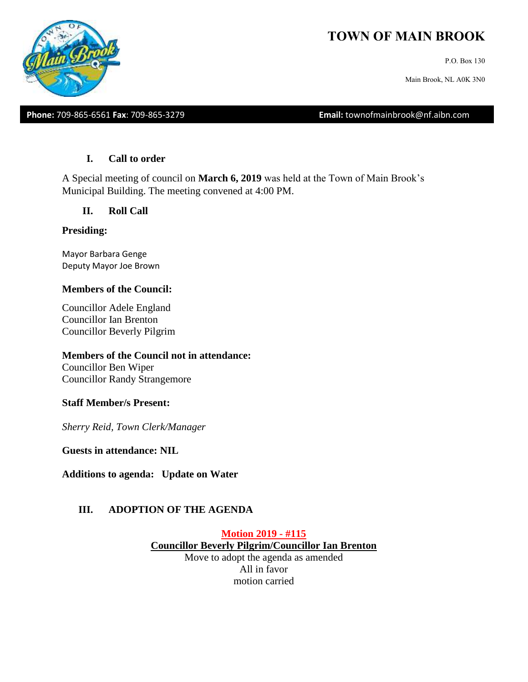# **TOWN OF MAIN BROOK**

P.O. Box 130

Main Brook, NL A0K 3N0

**Phone:** 709-865-6561 **Fax**: 709-865-3279 **Email:** townofmainbrook@nf.aibn.com

#### **I. Call to order**

A Special meeting of council on **March 6, 2019** was held at the Town of Main Brook's Municipal Building. The meeting convened at 4:00 PM.

#### **II. Roll Call**

#### **Presiding:**

Mayor Barbara Genge Deputy Mayor Joe Brown

#### **Members of the Council:**

Councillor Adele England Councillor Ian Brenton Councillor Beverly Pilgrim

#### **Members of the Council not in attendance:**

Councillor Ben Wiper Councillor Randy Strangemore

#### **Staff Member/s Present:**

*Sherry Reid, Town Clerk/Manager*

**Guests in attendance: NIL**

**Additions to agenda: Update on Water**

#### **III. ADOPTION OF THE AGENDA**

**Motion 2019 - #115 Councillor Beverly Pilgrim/Councillor Ian Brenton** Move to adopt the agenda as amended All in favor motion carried